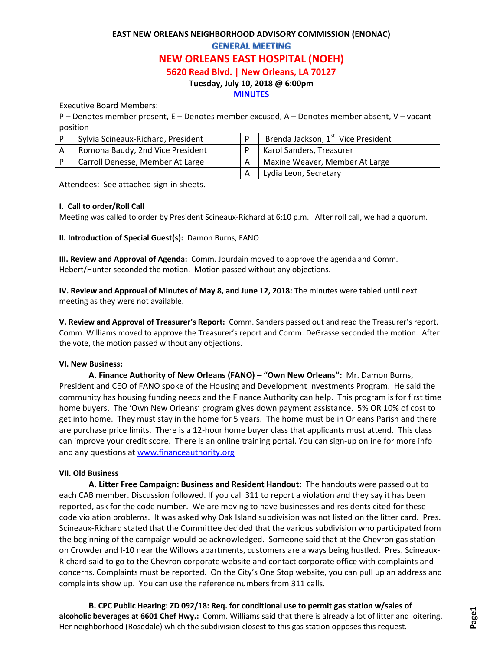# **EAST NEW ORLEANS NEIGHBORHOOD ADVISORY COMMISSION (ENONAC) GENERAL MEETING NEW ORLEANS EAST HOSPITAL (NOEH) 5620 Read Blvd. | New Orleans, LA 70127**

#### **Tuesday, July 10, 2018 @ 6:00pm**

#### **MINUTES**

Executive Board Members:

P – Denotes member present, E – Denotes member excused, A – Denotes member absent, V – vacant position

| Sylvia Scineaux-Richard, President | Brenda Jackson, 1 <sup>st</sup> Vice President |
|------------------------------------|------------------------------------------------|
| Romona Baudy, 2nd Vice President   | <b>Karol Sanders, Treasurer</b>                |
| Carroll Denesse, Member At Large   | Maxine Weaver, Member At Large                 |
|                                    | Lydia Leon, Secretary                          |

Attendees: See attached sign-in sheets.

#### **I. Call to order/Roll Call**

Meeting was called to order by President Scineaux-Richard at 6:10 p.m. After roll call, we had a quorum.

**II. Introduction of Special Guest(s):** Damon Burns, FANO

**III. Review and Approval of Agenda:** Comm. Jourdain moved to approve the agenda and Comm. Hebert/Hunter seconded the motion. Motion passed without any objections.

**IV. Review and Approval of Minutes of May 8, and June 12, 2018:** The minutes were tabled until next meeting as they were not available.

**V. Review and Approval of Treasurer's Report:** Comm. Sanders passed out and read the Treasurer's report. Comm. Williams moved to approve the Treasurer's report and Comm. DeGrasse seconded the motion. After the vote, the motion passed without any objections.

#### **VI. New Business:**

**A. Finance Authority of New Orleans (FANO) – "Own New Orleans":** Mr. Damon Burns, President and CEO of FANO spoke of the Housing and Development Investments Program. He said the community has housing funding needs and the Finance Authority can help. This program is for first time home buyers. The 'Own New Orleans' program gives down payment assistance. 5% OR 10% of cost to get into home. They must stay in the home for 5 years. The home must be in Orleans Parish and there are purchase price limits. There is a 12-hour home buyer class that applicants must attend. This class can improve your credit score. There is an online training portal. You can sign-up online for more info and any questions at [www.financeauthority.org](http://www.financeauthority.org/)

#### **VII. Old Business**

**A. Litter Free Campaign: Business and Resident Handout:** The handouts were passed out to each CAB member. Discussion followed. If you call 311 to report a violation and they say it has been reported, ask for the code number. We are moving to have businesses and residents cited for these code violation problems. It was asked why Oak Island subdivision was not listed on the litter card. Pres. Scineaux-Richard stated that the Committee decided that the various subdivision who participated from the beginning of the campaign would be acknowledged. Someone said that at the Chevron gas station on Crowder and I-10 near the Willows apartments, customers are always being hustled. Pres. Scineaux-Richard said to go to the Chevron corporate website and contact corporate office with complaints and concerns. Complaints must be reported. On the City's One Stop website, you can pull up an address and complaints show up. You can use the reference numbers from 311 calls.

**B. CPC Public Hearing: ZD 092/18: Req. for conditional use to permit gas station w/sales of alcoholic beverages at 6601 Chef Hwy.:** Comm. Williams said that there is already a lot of litter and loitering. Her neighborhood (Rosedale) which the subdivision closest to this gas station opposes this request.